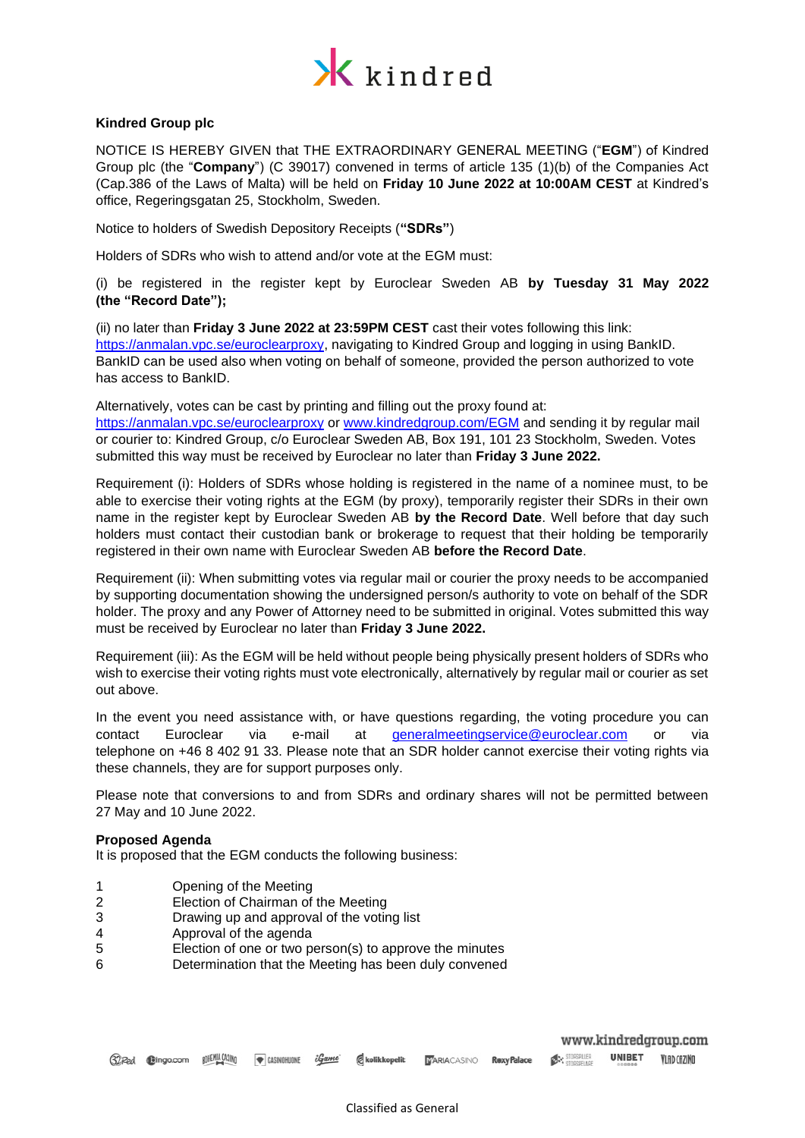

# **Kindred Group plc**

NOTICE IS HEREBY GIVEN that THE EXTRAORDINARY GENERAL MEETING ("**EGM**") of Kindred Group plc (the "**Company**") (C 39017) convened in terms of article 135 (1)(b) of the Companies Act (Cap.386 of the Laws of Malta) will be held on **Friday 10 June 2022 at 10:00AM CEST** at Kindred's office, Regeringsgatan 25, Stockholm, Sweden.

Notice to holders of Swedish Depository Receipts (**"SDRs"**)

Holders of SDRs who wish to attend and/or vote at the EGM must:

(i) be registered in the register kept by Euroclear Sweden AB **by Tuesday 31 May 2022 (the "Record Date");**

(ii) no later than **Friday 3 June 2022 at 23:59PM CEST** cast their votes following this link: [https://anmalan.vpc.se/euroclearproxy,](https://anmalan.vpc.se/euroclearproxy) navigating to Kindred Group and logging in using BankID. BankID can be used also when voting on behalf of someone, provided the person authorized to vote has access to BankID.

Alternatively, votes can be cast by printing and filling out the proxy found at: <https://anmalan.vpc.se/euroclearproxy> or [www.kindredgroup.com/EGM](http://www.kindredgroup.com/EGM) and sending it by regular mail or courier to: Kindred Group, c/o Euroclear Sweden AB, Box 191, 101 23 Stockholm, Sweden. Votes submitted this way must be received by Euroclear no later than **Friday 3 June 2022.** 

Requirement (i): Holders of SDRs whose holding is registered in the name of a nominee must, to be able to exercise their voting rights at the EGM (by proxy), temporarily register their SDRs in their own name in the register kept by Euroclear Sweden AB **by the Record Date**. Well before that day such holders must contact their custodian bank or brokerage to request that their holding be temporarily registered in their own name with Euroclear Sweden AB **before the Record Date**.

Requirement (ii): When submitting votes via regular mail or courier the proxy needs to be accompanied by supporting documentation showing the undersigned person/s authority to vote on behalf of the SDR holder. The proxy and any Power of Attorney need to be submitted in original. Votes submitted this way must be received by Euroclear no later than **Friday 3 June 2022.**

Requirement (iii): As the EGM will be held without people being physically present holders of SDRs who wish to exercise their voting rights must vote electronically, alternatively by regular mail or courier as set out above.

In the event you need assistance with, or have questions regarding, the voting procedure you can contact Euroclear via e-mail at [generalmeetingservice@euroclear.com](mailto:generalmeetingservice@euroclear.com) or via telephone on +46 8 402 91 33. Please note that an SDR holder cannot exercise their voting rights via these channels, they are for support purposes only.

Please note that conversions to and from SDRs and ordinary shares will not be permitted between 27 May and 10 June 2022.

## **Proposed Agenda**

It is proposed that the EGM conducts the following business:

- 1 Opening of the Meeting
- 2 Election of Chairman of the Meeting
- 3 Drawing up and approval of the voting list
- 4 Approval of the agenda
- 5 Election of one or two person(s) to approve the minutes
- 6 Determination that the Meeting has been duly convened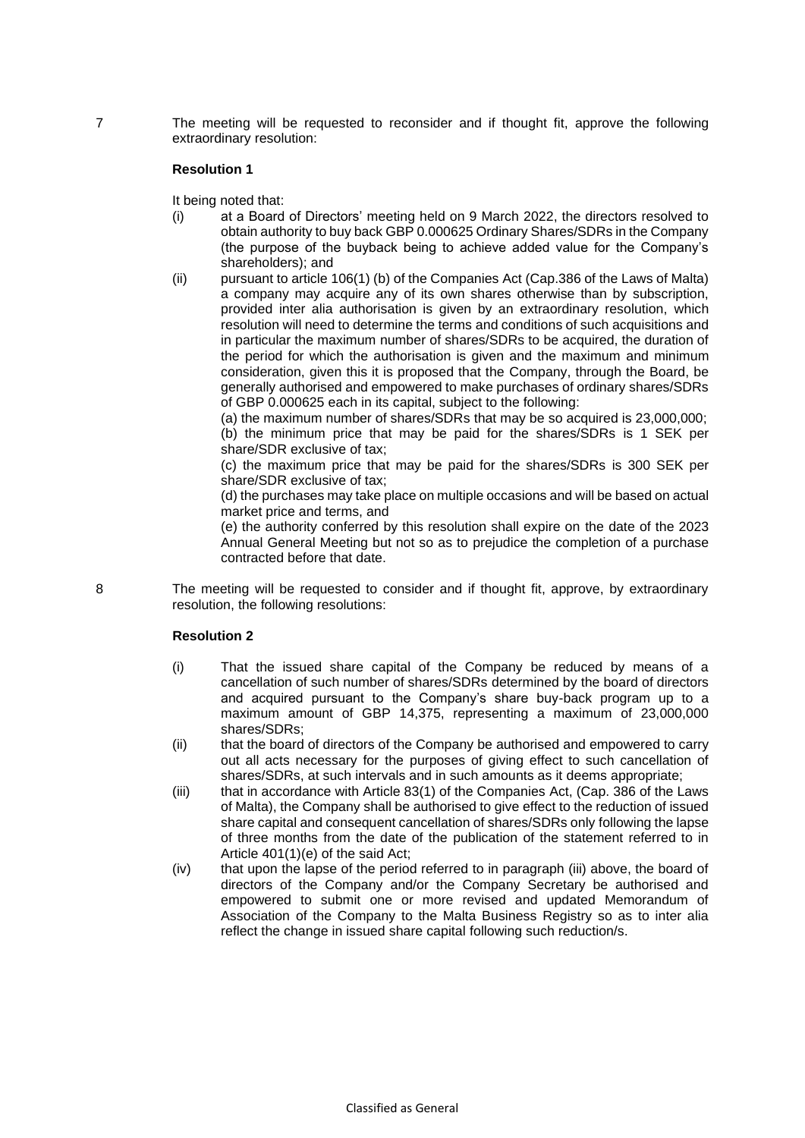7 The meeting will be requested to reconsider and if thought fit, approve the following extraordinary resolution:

## **Resolution 1**

It being noted that:

- (i) at a Board of Directors' meeting held on 9 March 2022, the directors resolved to obtain authority to buy back GBP 0.000625 Ordinary Shares/SDRs in the Company (the purpose of the buyback being to achieve added value for the Company's shareholders); and
- (ii) pursuant to article 106(1) (b) of the Companies Act (Cap.386 of the Laws of Malta) a company may acquire any of its own shares otherwise than by subscription, provided inter alia authorisation is given by an extraordinary resolution, which resolution will need to determine the terms and conditions of such acquisitions and in particular the maximum number of shares/SDRs to be acquired, the duration of the period for which the authorisation is given and the maximum and minimum consideration, given this it is proposed that the Company, through the Board, be generally authorised and empowered to make purchases of ordinary shares/SDRs of GBP 0.000625 each in its capital, subject to the following:

(a) the maximum number of shares/SDRs that may be so acquired is 23,000,000; (b) the minimum price that may be paid for the shares/SDRs is 1 SEK per share/SDR exclusive of tax;

(c) the maximum price that may be paid for the shares/SDRs is 300 SEK per share/SDR exclusive of tax;

(d) the purchases may take place on multiple occasions and will be based on actual market price and terms, and

(e) the authority conferred by this resolution shall expire on the date of the 2023 Annual General Meeting but not so as to prejudice the completion of a purchase contracted before that date.

8 The meeting will be requested to consider and if thought fit, approve, by extraordinary resolution, the following resolutions:

## **Resolution 2**

- (i) That the issued share capital of the Company be reduced by means of a cancellation of such number of shares/SDRs determined by the board of directors and acquired pursuant to the Company's share buy-back program up to a maximum amount of GBP 14,375, representing a maximum of 23,000,000 shares/SDRs;
- (ii) that the board of directors of the Company be authorised and empowered to carry out all acts necessary for the purposes of giving effect to such cancellation of shares/SDRs, at such intervals and in such amounts as it deems appropriate;
- (iii) that in accordance with Article 83(1) of the Companies Act, (Cap. 386 of the Laws of Malta), the Company shall be authorised to give effect to the reduction of issued share capital and consequent cancellation of shares/SDRs only following the lapse of three months from the date of the publication of the statement referred to in Article 401(1)(e) of the said Act;
- (iv) that upon the lapse of the period referred to in paragraph (iii) above, the board of directors of the Company and/or the Company Secretary be authorised and empowered to submit one or more revised and updated Memorandum of Association of the Company to the Malta Business Registry so as to inter alia reflect the change in issued share capital following such reduction/s.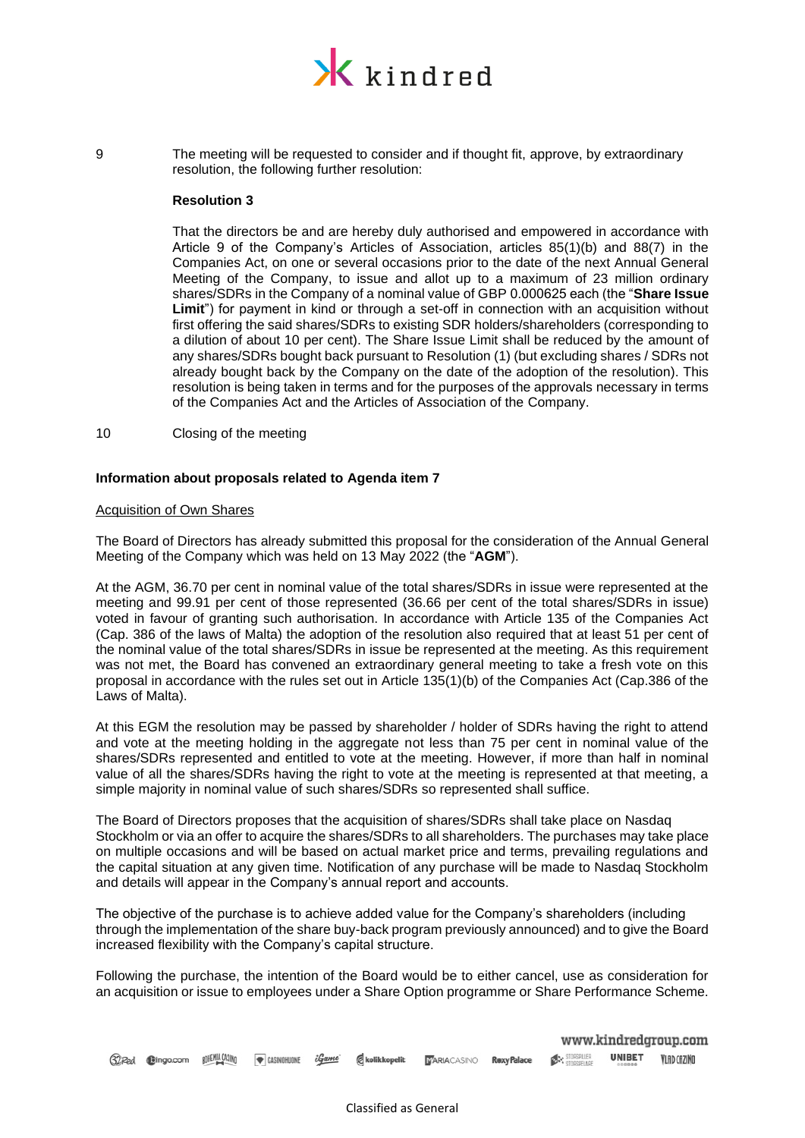

9 The meeting will be requested to consider and if thought fit, approve, by extraordinary resolution, the following further resolution:

### **Resolution 3**

That the directors be and are hereby duly authorised and empowered in accordance with Article 9 of the Company's Articles of Association, articles 85(1)(b) and 88(7) in the Companies Act, on one or several occasions prior to the date of the next Annual General Meeting of the Company, to issue and allot up to a maximum of 23 million ordinary shares/SDRs in the Company of a nominal value of GBP 0.000625 each (the "**Share Issue Limit**") for payment in kind or through a set-off in connection with an acquisition without first offering the said shares/SDRs to existing SDR holders/shareholders (corresponding to a dilution of about 10 per cent). The Share Issue Limit shall be reduced by the amount of any shares/SDRs bought back pursuant to Resolution (1) (but excluding shares / SDRs not already bought back by the Company on the date of the adoption of the resolution). This resolution is being taken in terms and for the purposes of the approvals necessary in terms of the Companies Act and the Articles of Association of the Company.

10 Closing of the meeting

## **Information about proposals related to Agenda item 7**

### Acquisition of Own Shares

The Board of Directors has already submitted this proposal for the consideration of the Annual General Meeting of the Company which was held on 13 May 2022 (the "**AGM**").

At the AGM, 36.70 per cent in nominal value of the total shares/SDRs in issue were represented at the meeting and 99.91 per cent of those represented (36.66 per cent of the total shares/SDRs in issue) voted in favour of granting such authorisation. In accordance with Article 135 of the Companies Act (Cap. 386 of the laws of Malta) the adoption of the resolution also required that at least 51 per cent of the nominal value of the total shares/SDRs in issue be represented at the meeting. As this requirement was not met, the Board has convened an extraordinary general meeting to take a fresh vote on this proposal in accordance with the rules set out in Article 135(1)(b) of the Companies Act (Cap.386 of the Laws of Malta).

At this EGM the resolution may be passed by shareholder / holder of SDRs having the right to attend and vote at the meeting holding in the aggregate not less than 75 per cent in nominal value of the shares/SDRs represented and entitled to vote at the meeting. However, if more than half in nominal value of all the shares/SDRs having the right to vote at the meeting is represented at that meeting, a simple majority in nominal value of such shares/SDRs so represented shall suffice.

The Board of Directors proposes that the acquisition of shares/SDRs shall take place on Nasdaq Stockholm or via an offer to acquire the shares/SDRs to all shareholders. The purchases may take place on multiple occasions and will be based on actual market price and terms, prevailing regulations and the capital situation at any given time. Notification of any purchase will be made to Nasdaq Stockholm and details will appear in the Company's annual report and accounts.

The objective of the purchase is to achieve added value for the Company's shareholders (including through the implementation of the share buy-back program previously announced) and to give the Board increased flexibility with the Company's capital structure.

Following the purchase, the intention of the Board would be to either cancel, use as consideration for an acquisition or issue to employees under a Share Option programme or Share Performance Scheme.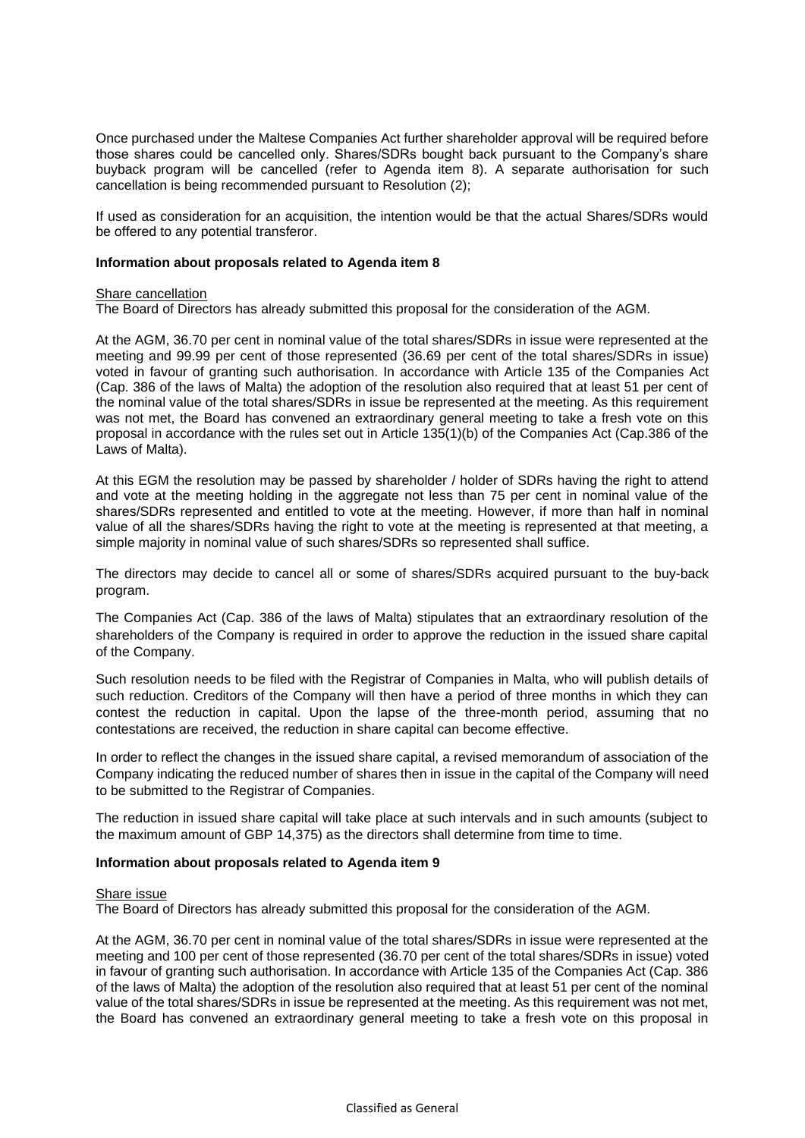Once purchased under the Maltese Companies Act further shareholder approval will be required before those shares could be cancelled only. Shares/SDRs bought back pursuant to the Company's share buyback program will be cancelled (refer to Agenda item 8). A separate authorisation for such cancellation is being recommended pursuant to Resolution (2);

If used as consideration for an acquisition, the intention would be that the actual Shares/SDRs would be offered to any potential transferor.

### **Information about proposals related to Agenda item 8**

#### Share cancellation

The Board of Directors has already submitted this proposal for the consideration of the AGM.

At the AGM, 36.70 per cent in nominal value of the total shares/SDRs in issue were represented at the meeting and 99.99 per cent of those represented (36.69 per cent of the total shares/SDRs in issue) voted in favour of granting such authorisation. In accordance with Article 135 of the Companies Act (Cap. 386 of the laws of Malta) the adoption of the resolution also required that at least 51 per cent of the nominal value of the total shares/SDRs in issue be represented at the meeting. As this requirement was not met, the Board has convened an extraordinary general meeting to take a fresh vote on this proposal in accordance with the rules set out in Article 135(1)(b) of the Companies Act (Cap.386 of the Laws of Malta).

At this EGM the resolution may be passed by shareholder / holder of SDRs having the right to attend and vote at the meeting holding in the aggregate not less than 75 per cent in nominal value of the shares/SDRs represented and entitled to vote at the meeting. However, if more than half in nominal value of all the shares/SDRs having the right to vote at the meeting is represented at that meeting, a simple majority in nominal value of such shares/SDRs so represented shall suffice.

The directors may decide to cancel all or some of shares/SDRs acquired pursuant to the buy-back program.

The Companies Act (Cap. 386 of the laws of Malta) stipulates that an extraordinary resolution of the shareholders of the Company is required in order to approve the reduction in the issued share capital of the Company.

Such resolution needs to be filed with the Registrar of Companies in Malta, who will publish details of such reduction. Creditors of the Company will then have a period of three months in which they can contest the reduction in capital. Upon the lapse of the three-month period, assuming that no contestations are received, the reduction in share capital can become effective.

In order to reflect the changes in the issued share capital, a revised memorandum of association of the Company indicating the reduced number of shares then in issue in the capital of the Company will need to be submitted to the Registrar of Companies.

The reduction in issued share capital will take place at such intervals and in such amounts (subject to the maximum amount of GBP 14,375) as the directors shall determine from time to time.

## **Information about proposals related to Agenda item 9**

#### Share issue

The Board of Directors has already submitted this proposal for the consideration of the AGM.

At the AGM, 36.70 per cent in nominal value of the total shares/SDRs in issue were represented at the meeting and 100 per cent of those represented (36.70 per cent of the total shares/SDRs in issue) voted in favour of granting such authorisation. In accordance with Article 135 of the Companies Act (Cap. 386 of the laws of Malta) the adoption of the resolution also required that at least 51 per cent of the nominal value of the total shares/SDRs in issue be represented at the meeting. As this requirement was not met, the Board has convened an extraordinary general meeting to take a fresh vote on this proposal in